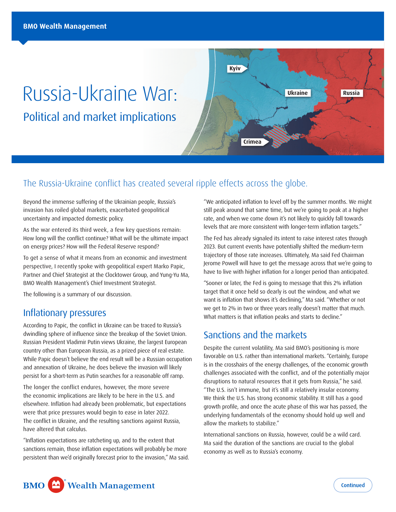# Russia-Ukraine War: Political and market implications



## The Russia-Ukraine conflict has created several ripple effects across the globe.

Beyond the immense suffering of the Ukrainian people, Russia's invasion has roiled global markets, exacerbated geopolitical uncertainty and impacted domestic policy.

As the war entered its third week, a few key questions remain: How long will the conflict continue? What will be the ultimate impact on energy prices? How will the Federal Reserve respond?

To get a sense of what it means from an economic and investment perspective, I recently spoke with geopolitical expert Marko Papic, Partner and Chief Strategist at the Clocktower Group, and Yung-Yu Ma, BMO Wealth Management's Chief Investment Strategist.

The following is a summary of our discussion.

#### Inflationary pressures

According to Papic, the conflict in Ukraine can be traced to Russia's dwindling sphere of influence since the breakup of the Soviet Union. Russian President Vladimir Putin views Ukraine, the largest European country other than European Russia, as a prized piece of real estate. While Papic doesn't believe the end result will be a Russian occupation and annexation of Ukraine, he does believe the invasion will likely persist for a short-term as Putin searches for a reasonable off ramp.

The longer the conflict endures, however, the more severe the economic implications are likely to be here in the U.S. and elsewhere. Inflation had already been problematic, but expectations were that price pressures would begin to ease in later 2022. The conflict in Ukraine, and the resulting sanctions against Russia, have altered that calculus.

"Inflation expectations are ratcheting up, and to the extent that sanctions remain, those inflation expectations will probably be more persistent than we'd originally forecast prior to the invasion," Ma said. "We anticipated inflation to level off by the summer months. We might still peak around that same time, but we're going to peak at a higher rate, and when we come down it's not likely to quickly fall towards levels that are more consistent with longer-term inflation targets."

The Fed has already signaled its intent to raise interest rates through 2023. But current events have potentially shifted the medium-term trajectory of those rate increases. Ultimately, Ma said Fed Chairman Jerome Powell will have to get the message across that we're going to have to live with higher inflation for a longer period than anticipated.

"Sooner or later, the Fed is going to message that this 2% inflation target that it once held so dearly is out the window, and what we want is inflation that shows it's declining," Ma said. "Whether or not we get to 2% in two or three years really doesn't matter that much. What matters is that inflation peaks and starts to decline."

## Sanctions and the markets

Despite the current volatility, Ma said BMO's positioning is more favorable on U.S. rather than international markets. "Certainly, Europe is in the crosshairs of the energy challenges, of the economic growth challenges associated with the conflict, and of the potentially major disruptions to natural resources that it gets from Russia," he said. "The U.S. isn't immune, but it's still a relatively insular economy. We think the U.S. has strong economic stability. It still has a good growth profile, and once the acute phase of this war has passed, the underlying fundamentals of the economy should hold up well and allow the markets to stabilize."

International sanctions on Russia, however, could be a wild card. Ma said the duration of the sanctions are crucial to the global economy as well as to Russia's economy.

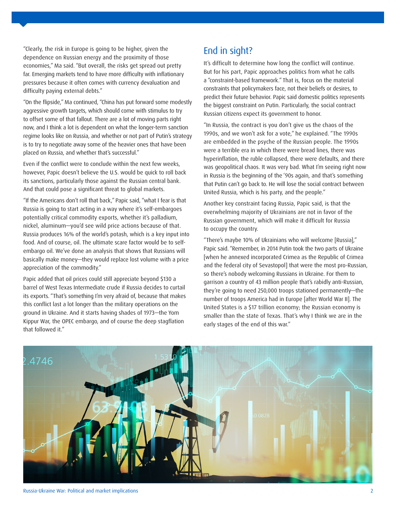"Clearly, the risk in Europe is going to be higher, given the dependence on Russian energy and the proximity of those economies," Ma said. "But overall, the risks get spread out pretty far. Emerging markets tend to have more difficulty with inflationary pressures because it often comes with currency devaluation and difficulty paying external debts."

"On the flipside," Ma continued, "China has put forward some modestly aggressive growth targets, which should come with stimulus to try to offset some of that fallout. There are a lot of moving parts right now, and I think a lot is dependent on what the longer-term sanction regime looks like on Russia, and whether or not part of Putin's strategy is to try to negotiate away some of the heavier ones that have been placed on Russia, and whether that's successful."

Even if the conflict were to conclude within the next few weeks, however, Papic doesn't believe the U.S. would be quick to roll back its sanctions, particularly those against the Russian central bank. And that could pose a significant threat to global markets.

"If the Americans don't roll that back," Papic said, "what I fear is that Russia is going to start acting in a way where it's self-embargoes potentially critical commodity exports, whether it's palladium, nickel, aluminum—you'd see wild price actions because of that. Russia produces 16% of the world's potash, which is a key input into food. And of course, oil. The ultimate scare factor would be to selfembargo oil. We've done an analysis that shows that Russians will basically make money—they would replace lost volume with a price appreciation of the commodity."

Papic added that oil prices could still appreciate beyond \$130 a barrel of West Texas Intermediate crude if Russia decides to curtail its exports. "That's something I'm very afraid of, because that makes this conflict last a lot longer than the military operations on the ground in Ukraine. And it starts having shades of 1973—the Yom Kippur War, the OPEC embargo, and of course the deep stagflation that followed it."

# End in sight?

It's difficult to determine how long the conflict will continue. But for his part, Papic approaches politics from what he calls a "constraint-based framework." That is, focus on the material constraints that policymakers face, not their beliefs or desires, to predict their future behavior. Papic said domestic politics represents the biggest constraint on Putin. Particularly, the social contract Russian citizens expect its government to honor.

"In Russia, the contract is you don't give us the chaos of the 1990s, and we won't ask for a vote," he explained. "The 1990s are embedded in the psyche of the Russian people. The 1990s were a terrible era in which there were bread lines, there was hyperinflation, the ruble collapsed, there were defaults, and there was geopolitical chaos. It was very bad. What I'm seeing right now in Russia is the beginning of the '90s again, and that's something that Putin can't go back to. He will lose the social contract between United Russia, which is his party, and the people."

Another key constraint facing Russia, Papic said, is that the overwhelming majority of Ukrainians are not in favor of the Russian government, which will make it difficult for Russia to occupy the country.

"There's maybe 10% of Ukrainians who will welcome [Russia]," Papic said. "Remember, in 2014 Putin took the two parts of Ukraine [when he annexed incorporated Crimea as the Republic of Crimea and the federal city of Sevastopol] that were the most pro-Russian, so there's nobody welcoming Russians in Ukraine. For them to garrison a country of 43 million people that's rabidly anti-Russian, they're going to need 250,000 troops stationed permanently—the number of troops America had in Europe [after World War II]. The United States is a \$17 trillion economy; the Russian economy is smaller than the state of Texas. That's why I think we are in the early stages of the end of this war."